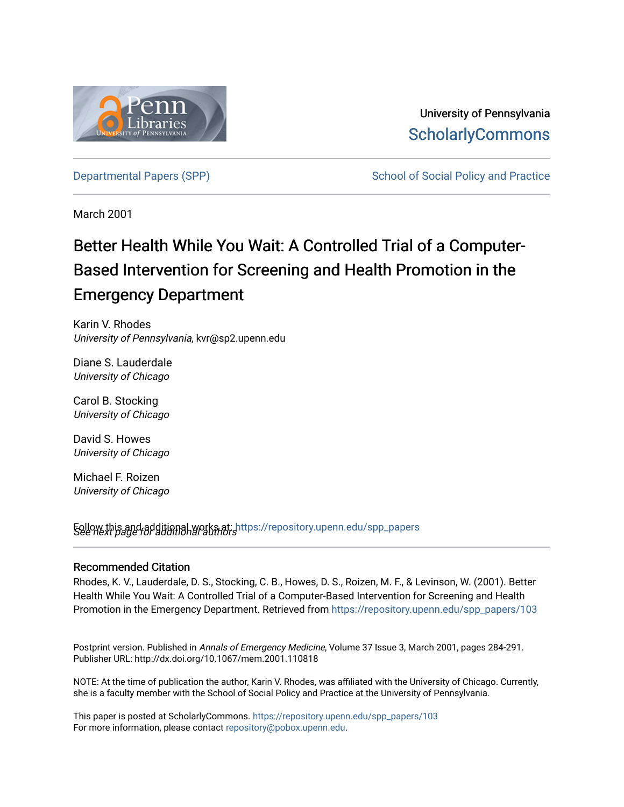

University of Pennsylvania **ScholarlyCommons** 

[Departmental Papers \(SPP\)](https://repository.upenn.edu/spp_papers) The School of Social Policy and Practice

March 2001

# Better Health While You Wait: A Controlled Trial of a Computer-Based Intervention for Screening and Health Promotion in the Emergency Department

Karin V. Rhodes University of Pennsylvania, kvr@sp2.upenn.edu

Diane S. Lauderdale University of Chicago

Carol B. Stocking University of Chicago

David S. Howes University of Chicago

Michael F. Roizen University of Chicago

See next page for additional authors Follow this and additional works at: [https://repository.upenn.edu/spp\\_papers](https://repository.upenn.edu/spp_papers?utm_source=repository.upenn.edu%2Fspp_papers%2F103&utm_medium=PDF&utm_campaign=PDFCoverPages) 

## Recommended Citation

Rhodes, K. V., Lauderdale, D. S., Stocking, C. B., Howes, D. S., Roizen, M. F., & Levinson, W. (2001). Better Health While You Wait: A Controlled Trial of a Computer-Based Intervention for Screening and Health Promotion in the Emergency Department. Retrieved from [https://repository.upenn.edu/spp\\_papers/103](https://repository.upenn.edu/spp_papers/103?utm_source=repository.upenn.edu%2Fspp_papers%2F103&utm_medium=PDF&utm_campaign=PDFCoverPages) 

Postprint version. Published in Annals of Emergency Medicine, Volume 37 Issue 3, March 2001, pages 284-291. Publisher URL: http://dx.doi.org/10.1067/mem.2001.110818

NOTE: At the time of publication the author, Karin V. Rhodes, was affiliated with the University of Chicago. Currently, she is a faculty member with the School of Social Policy and Practice at the University of Pennsylvania.

This paper is posted at ScholarlyCommons. [https://repository.upenn.edu/spp\\_papers/103](https://repository.upenn.edu/spp_papers/103)  For more information, please contact [repository@pobox.upenn.edu.](mailto:repository@pobox.upenn.edu)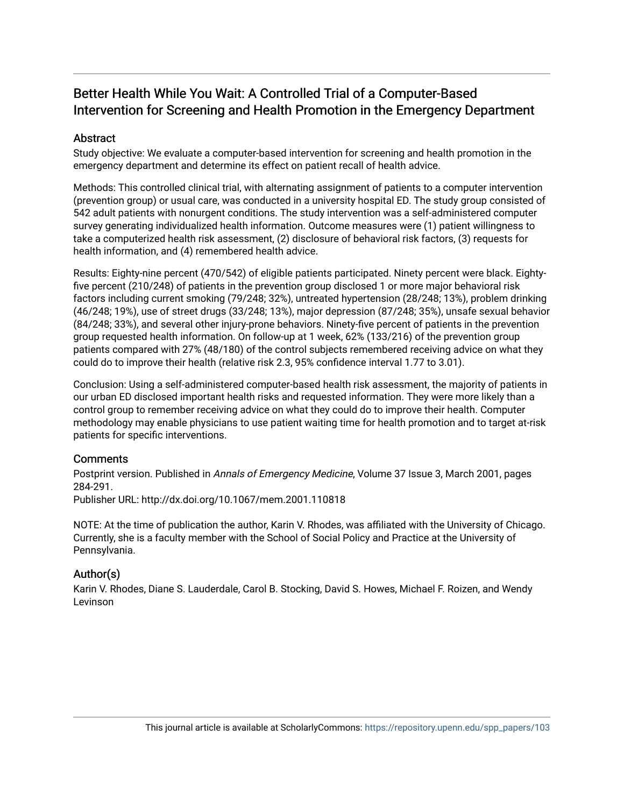# Better Health While You Wait: A Controlled Trial of a Computer-Based Intervention for Screening and Health Promotion in the Emergency Department

# **Abstract**

Study objective: We evaluate a computer-based intervention for screening and health promotion in the emergency department and determine its effect on patient recall of health advice.

Methods: This controlled clinical trial, with alternating assignment of patients to a computer intervention (prevention group) or usual care, was conducted in a university hospital ED. The study group consisted of 542 adult patients with nonurgent conditions. The study intervention was a self-administered computer survey generating individualized health information. Outcome measures were (1) patient willingness to take a computerized health risk assessment, (2) disclosure of behavioral risk factors, (3) requests for health information, and (4) remembered health advice.

Results: Eighty-nine percent (470/542) of eligible patients participated. Ninety percent were black. Eightyfive percent (210/248) of patients in the prevention group disclosed 1 or more major behavioral risk factors including current smoking (79/248; 32%), untreated hypertension (28/248; 13%), problem drinking (46/248; 19%), use of street drugs (33/248; 13%), major depression (87/248; 35%), unsafe sexual behavior (84/248; 33%), and several other injury-prone behaviors. Ninety-five percent of patients in the prevention group requested health information. On follow-up at 1 week, 62% (133/216) of the prevention group patients compared with 27% (48/180) of the control subjects remembered receiving advice on what they could do to improve their health (relative risk 2.3, 95% confidence interval 1.77 to 3.01).

Conclusion: Using a self-administered computer-based health risk assessment, the majority of patients in our urban ED disclosed important health risks and requested information. They were more likely than a control group to remember receiving advice on what they could do to improve their health. Computer methodology may enable physicians to use patient waiting time for health promotion and to target at-risk patients for specific interventions.

## **Comments**

Postprint version. Published in Annals of Emergency Medicine, Volume 37 Issue 3, March 2001, pages 284-291. Publisher URL: http://dx.doi.org/10.1067/mem.2001.110818

NOTE: At the time of publication the author, Karin V. Rhodes, was affiliated with the University of Chicago. Currently, she is a faculty member with the School of Social Policy and Practice at the University of Pennsylvania.

# Author(s)

Karin V. Rhodes, Diane S. Lauderdale, Carol B. Stocking, David S. Howes, Michael F. Roizen, and Wendy Levinson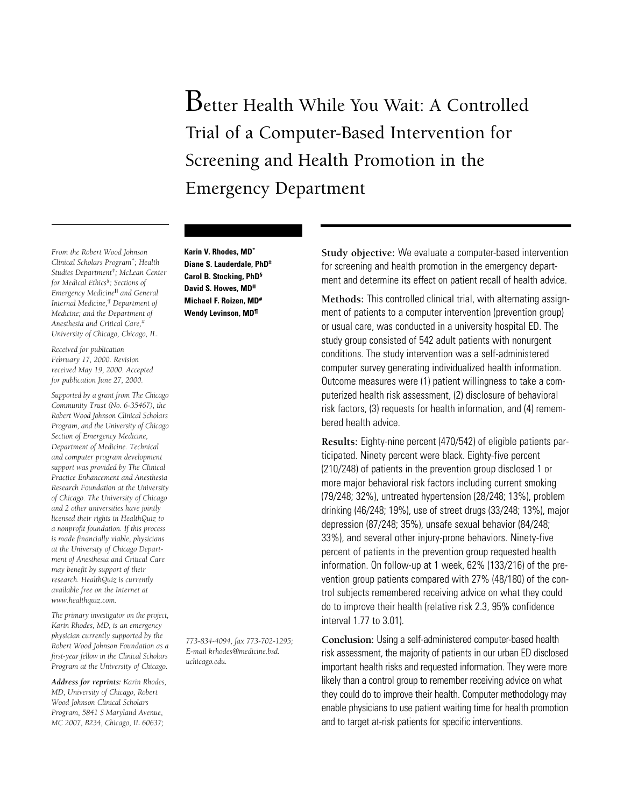# Better Health While You Wait: A Controlled Trial of a Computer-Based Intervention for Screening and Health Promotion in the Emergency Department

*From the Robert Wood Johnson Clinical Scholars Program\* ; Health Studies Department‡ ; McLean Center for Medical Ethics§; Sections of Emergency Medicine*II *and General Internal Medicine,¶ Department of Medicine; and the Department of Anesthesia and Critical Care,# University of Chicago, Chicago, IL.*

*Received for publication February 17, 2000. Revision received May 19, 2000. Accepted for publication June 27, 2000.*

*Supported by a grant from The Chicago Community Trust (No. 6-35467), the Robert Wood Johnson Clinical Scholars Program, and the University of Chicago Section of Emergency Medicine, Department of Medicine. Technical and computer program development support was provided by The Clinical Practice Enhancement and Anesthesia Research Foundation at the University of Chicago. The University of Chicago and 2 other universities have jointly licensed their rights in HealthQuiz to a nonprofit foundation. If this process is made financially viable, physicians at the University of Chicago Department of Anesthesia and Critical Care may benefit by support of their research. HealthQuiz is currently available free on the Internet at www.healthquiz.com.*

*The primary investigator on the project, Karin Rhodes, MD, is an emergency physician currently supported by the Robert Wood Johnson Foundation as a first-year fellow in the Clinical Scholars Program at the University of Chicago.*

*Address for reprints: Karin Rhodes, MD, University of Chicago, Robert Wood Johnson Clinical Scholars Program, 5841 S Maryland Avenue, MC 2007, B234, Chicago, IL 60637;*

**Karin V. Rhodes, MD\* Diane S. Lauderdale, PhD‡ Carol B. Stocking, PhD§ David S. Howes, MDII Michael F. Roizen, MD# Wendy Levinson, MD¶**

*773-834-4094, fax 773-702-1295; E-mail krhodes@medicine.bsd. uchicago.edu.*

**Study objective:** We evaluate a computer-based intervention for screening and health promotion in the emergency department and determine its effect on patient recall of health advice.

**Methods:** This controlled clinical trial, with alternating assignment of patients to a computer intervention (prevention group) or usual care, was conducted in a university hospital ED. The study group consisted of 542 adult patients with nonurgent conditions. The study intervention was a self-administered computer survey generating individualized health information. Outcome measures were (1) patient willingness to take a computerized health risk assessment, (2) disclosure of behavioral risk factors, (3) requests for health information, and (4) remembered health advice.

**Results:** Eighty-nine percent (470/542) of eligible patients participated. Ninety percent were black. Eighty-five percent (210/248) of patients in the prevention group disclosed 1 or more major behavioral risk factors including current smoking (79/248; 32%), untreated hypertension (28/248; 13%), problem drinking (46/248; 19%), use of street drugs (33/248; 13%), major depression (87/248; 35%), unsafe sexual behavior (84/248; 33%), and several other injury-prone behaviors. Ninety-five percent of patients in the prevention group requested health information. On follow-up at 1 week, 62% (133/216) of the prevention group patients compared with 27% (48/180) of the control subjects remembered receiving advice on what they could do to improve their health (relative risk 2.3, 95% confidence interval 1.77 to 3.01).

**Conclusion:** Using a self-administered computer-based health risk assessment, the majority of patients in our urban ED disclosed important health risks and requested information. They were more likely than a control group to remember receiving advice on what they could do to improve their health. Computer methodology may enable physicians to use patient waiting time for health promotion and to target at-risk patients for specific interventions.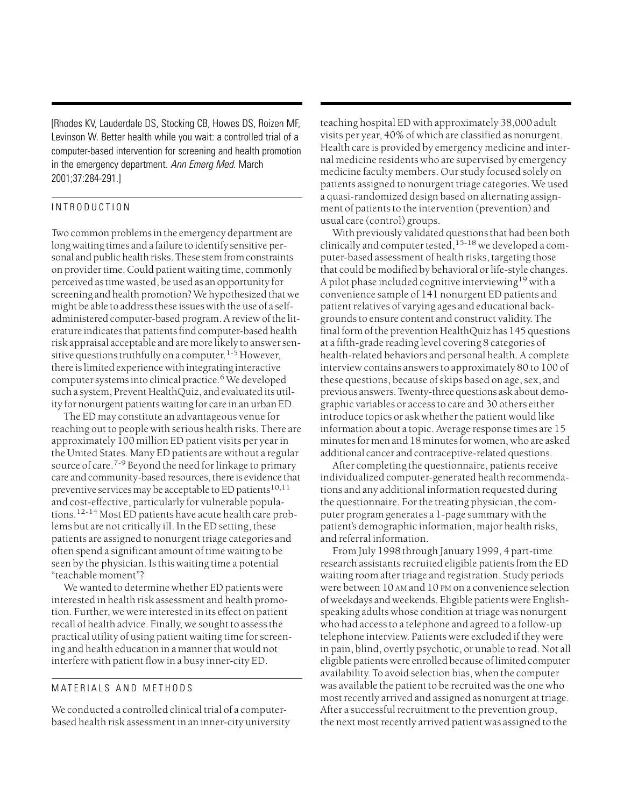[Rhodes KV, Lauderdale DS, Stocking CB, Howes DS, Roizen MF, Levinson W. Better health while you wait: a controlled trial of a computer-based intervention for screening and health promotion in the emergency department. Ann Emerg Med. March 2001;37:284-291.]

## INTRODUCTION

Two common problems in the emergency department are long waiting times and a failure to identify sensitive personal and public health risks. These stem from constraints on provider time. Could patient waiting time, commonly perceived as time wasted, be used as an opportunity for screening and health promotion? We hypothesized that we might be able to address these issues with the use of a selfadministered computer-based program. A review of the literature indicates that patients find computer-based health risk appraisal acceptable and are more likely to answer sensitive questions truthfully on a computer.<sup>1-5</sup> However, there is limited experience with integrating interactive computer systems into clinical practice.<sup>6</sup> We developed such a system, Prevent HealthQuiz, and evaluated its utility for nonurgent patients waiting for care in an urban ED.

The ED may constitute an advantageous venue for reaching out to people with serious health risks. There are approximately 100 million ED patient visits per year in the United States. Many ED patients are without a regular source of care.<sup>7-9</sup> Beyond the need for linkage to primary care and community-based resources, there is evidence that preventive services may be acceptable to ED patients<sup>10,11</sup> and cost-effective, particularly for vulnerable populations.12-14 Most ED patients have acute health care problems but are not critically ill. In the ED setting, these patients are assigned to nonurgent triage categories and often spend a significant amount of time waiting to be seen by the physician. Is this waiting time a potential "teachable moment"?

We wanted to determine whether ED patients were interested in health risk assessment and health promotion. Further, we were interested in its effect on patient recall of health advice. Finally, we sought to assess the practical utility of using patient waiting time for screening and health education in a manner that would not interfere with patient flow in a busy inner-city ED.

## MATERIALS AND METHODS

We conducted a controlled clinical trial of a computerbased health risk assessment in an inner-city university teaching hospital ED with approximately 38,000 adult visits per year, 40% of which are classified as nonurgent. Health care is provided by emergency medicine and internal medicine residents who are supervised by emergency medicine faculty members. Our study focused solely on patients assigned to nonurgent triage categories. We used a quasi-randomized design based on alternating assignment of patients to the intervention (prevention) and usual care (control) groups.

With previously validated questions that had been both clinically and computer tested,  $15-18$  we developed a computer-based assessment of health risks, targeting those that could be modified by behavioral or life-style changes. A pilot phase included cognitive interviewing<sup>19</sup> with a convenience sample of 141 nonurgent ED patients and patient relatives of varying ages and educational backgrounds to ensure content and construct validity. The final form of the prevention HealthQuiz has 145 questions at a fifth-grade reading level covering 8 categories of health-related behaviors and personal health. A complete interview contains answers to approximately 80 to 100 of these questions, because of skips based on age, sex, and previous answers. Twenty-three questions ask about demographic variables or access to care and 30 others either introduce topics or ask whether the patient would like information about a topic. Average response times are 15 minutes for men and 18 minutes for women, who are asked additional cancer and contraceptive-related questions.

After completing the questionnaire, patients receive individualized computer-generated health recommendations and any additional information requested during the questionnaire. For the treating physician, the computer program generates a 1-page summary with the patient's demographic information, major health risks, and referral information.

From July 1998 through January 1999, 4 part-time research assistants recruited eligible patients from the ED waiting room after triage and registration. Study periods were between 10 AM and 10 PM on a convenience selection of weekdays and weekends. Eligible patients were Englishspeaking adults whose condition at triage was nonurgent who had access to a telephone and agreed to a follow-up telephone interview. Patients were excluded if they were in pain, blind, overtly psychotic, or unable to read. Not all eligible patients were enrolled because of limited computer availability. To avoid selection bias, when the computer was available the patient to be recruited was the one who most recently arrived and assigned as nonurgent at triage. After a successful recruitment to the prevention group, the next most recently arrived patient was assigned to the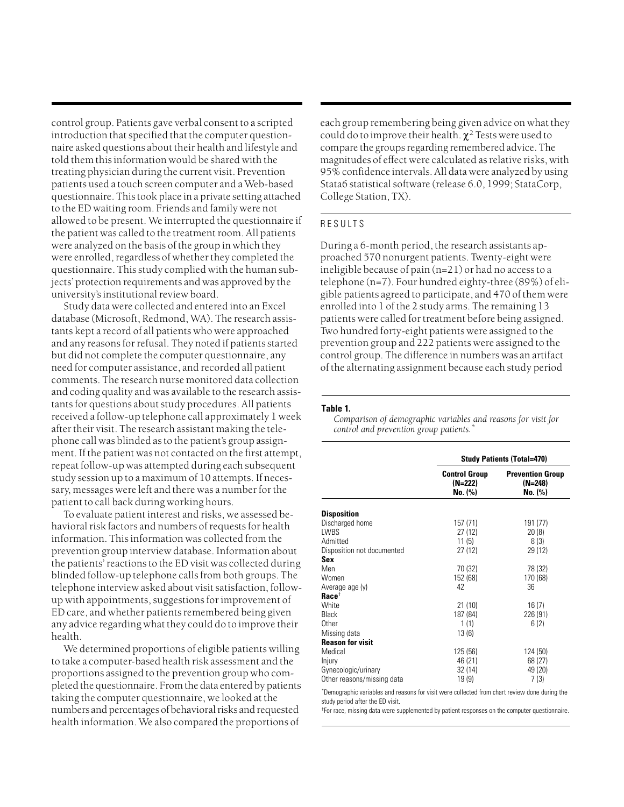control group. Patients gave verbal consent to a scripted introduction that specified that the computer questionnaire asked questions about their health and lifestyle and told them this information would be shared with the treating physician during the current visit. Prevention patients used a touch screen computer and a Web-based questionnaire. This took place in a private setting attached to the ED waiting room. Friends and family were not allowed to be present. We interrupted the questionnaire if the patient was called to the treatment room. All patients were analyzed on the basis of the group in which they were enrolled, regardless of whether they completed the questionnaire. This study complied with the human subjects' protection requirements and was approved by the university's institutional review board.

Study data were collected and entered into an Excel database (Microsoft, Redmond, WA). The research assistants kept a record of all patients who were approached and any reasons for refusal. They noted if patients started but did not complete the computer questionnaire, any need for computer assistance, and recorded all patient comments. The research nurse monitored data collection and coding quality and was available to the research assistants for questions about study procedures. All patients received a follow-up telephone call approximately 1 week after their visit. The research assistant making the telephone call was blinded as to the patient's group assignment. If the patient was not contacted on the first attempt, repeat follow-up was attempted during each subsequent study session up to a maximum of 10 attempts. If necessary, messages were left and there was a number for the patient to call back during working hours.

To evaluate patient interest and risks, we assessed behavioral risk factors and numbers of requests for health information. This information was collected from the prevention group interview database. Information about the patients' reactions to the ED visit was collected during blinded follow-up telephone calls from both groups. The telephone interview asked about visit satisfaction, followup with appointments, suggestions for improvement of ED care, and whether patients remembered being given any advice regarding what they could do to improve their health.

We determined proportions of eligible patients willing to take a computer-based health risk assessment and the proportions assigned to the prevention group who completed the questionnaire. From the data entered by patients taking the computer questionnaire, we looked at the numbers and percentages of behavioral risks and requested health information. We also compared the proportions of

each group remembering being given advice on what they could do to improve their health.  $\chi^2$  Tests were used to compare the groups regarding remembered advice. The magnitudes of effect were calculated as relative risks, with 95% confidence intervals. All data were analyzed by using Stata6 statistical software (release 6.0, 1999; StataCorp, College Station, TX).

### RESULTS

During a 6-month period, the research assistants approached 570 nonurgent patients. Twenty-eight were ineligible because of pain (n=21) or had no access to a telephone (n=7). Four hundred eighty-three (89%) of eligible patients agreed to participate, and 470 of them were enrolled into 1 of the 2 study arms. The remaining 13 patients were called for treatment before being assigned. Two hundred forty-eight patients were assigned to the prevention group and 222 patients were assigned to the control group. The difference in numbers was an artifact of the alternating assignment because each study period

#### **Table 1.**

*Comparison of demographic variables and reasons for visit for control and prevention group patients.\**

|                                              | <b>Study Patients (Total=470)</b>          |                                               |
|----------------------------------------------|--------------------------------------------|-----------------------------------------------|
|                                              | <b>Control Group</b><br>(N=222)<br>No. (%) | <b>Prevention Group</b><br>(N=248)<br>No. (%) |
| <b>Disposition</b>                           |                                            |                                               |
| Discharged home                              | 157 (71)                                   | 191 (77)                                      |
| LWBS                                         | 27 (12)                                    | 20(8)                                         |
| Admitted                                     | 11(5)                                      | 8(3)                                          |
| Disposition not documented                   | 27(12)                                     | 29 (12)                                       |
| Sex                                          |                                            |                                               |
| Men                                          | 70 (32)                                    | 78 (32)                                       |
| Women                                        | 152 (68)                                   | 170 (68)                                      |
| Average age (y)                              | 42                                         | 36                                            |
| $\mathbf{R} \mathbf{acc} \mathbf{e}^\dagger$ |                                            |                                               |
| White                                        | 21(10)                                     | 16(7)                                         |
| Black                                        | 187 (84)                                   | 226 (91)                                      |
| Other                                        | 1(1)                                       | 6(2)                                          |
| Missing data                                 | 13(6)                                      |                                               |
| <b>Reason for visit</b>                      |                                            |                                               |
| Medical                                      | 125 (56)                                   | 124 (50)                                      |
| Injury                                       | 46 (21)                                    | 68 (27)                                       |
| Gynecologic/urinary                          | 32 (14)                                    | 49 (20)                                       |
| Other reasons/missing data                   | 19(9)                                      | 7(3)                                          |

\* Demographic variables and reasons for visit were collected from chart review done during the study period after the ED visit.

<sup>†</sup>For race, missing data were supplemented by patient responses on the computer questionnaire.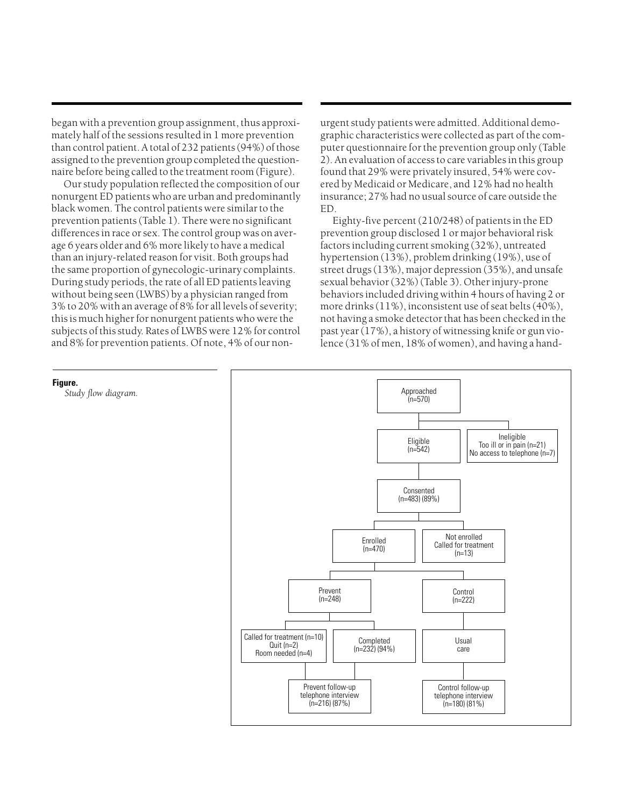began with a prevention group assignment, thus approximately half of the sessions resulted in 1 more prevention than control patient. A total of 232 patients (94%) of those assigned to the prevention group completed the questionnaire before being called to the treatment room (Figure).

Our study population reflected the composition of our nonurgent ED patients who are urban and predominantly black women. The control patients were similar to the prevention patients (Table 1). There were no significant differences in race or sex. The control group was on average 6 years older and 6% more likely to have a medical than an injury-related reason for visit. Both groups had the same proportion of gynecologic-urinary complaints. During study periods, the rate of all ED patients leaving without being seen (LWBS) by a physician ranged from 3% to 20% with an average of 8% for all levels of severity; this is much higher for nonurgent patients who were the subjects of this study. Rates of LWBS were 12% for control and 8% for prevention patients. Of note, 4% of our nonurgent study patients were admitted. Additional demographic characteristics were collected as part of the computer questionnaire for the prevention group only (Table 2). An evaluation of access to care variables in this group found that 29% were privately insured, 54% were covered by Medicaid or Medicare, and 12% had no health insurance; 27% had no usual source of care outside the ED.

Eighty-five percent (210/248) of patients in the ED prevention group disclosed 1 or major behavioral risk factors including current smoking (32%), untreated hypertension (13%), problem drinking (19%), use of street drugs (13%), major depression (35%), and unsafe sexual behavior (32%) (Table 3). Other injury-prone behaviors included driving within 4 hours of having 2 or more drinks (11%), inconsistent use of seat belts (40%), not having a smoke detector that has been checked in the past year (17%), a history of witnessing knife or gun violence (31% of men, 18% of women), and having a hand-



#### **Figure.**

*Study flow diagram.*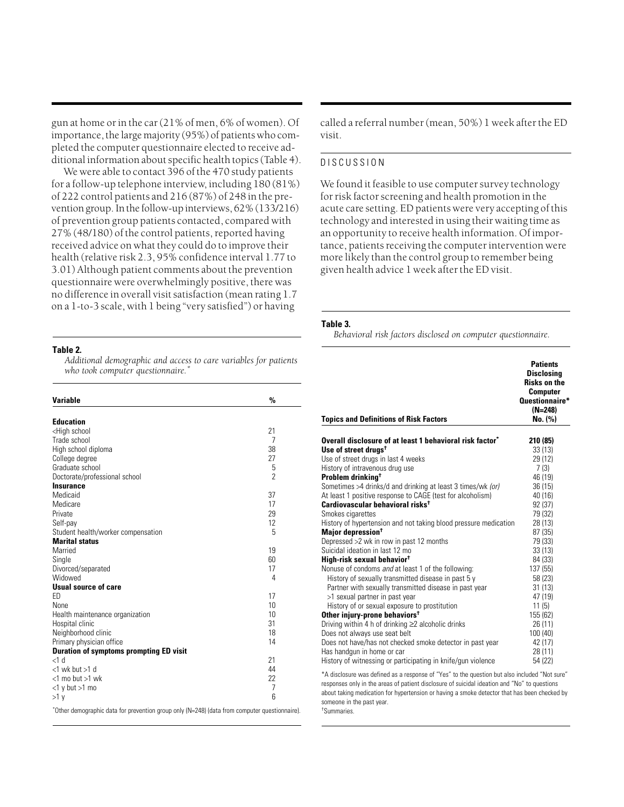gun at home or in the car (21% of men, 6% of women). Of importance, the large majority (95%) of patients who completed the computer questionnaire elected to receive additional information about specific health topics (Table 4).

We were able to contact 396 of the 470 study patients for a follow-up telephone interview, including 180 (81%) of 222 control patients and 216 (87%) of 248 in the prevention group. In the follow-up interviews, 62% (133/216) of prevention group patients contacted, compared with 27% (48/180) of the control patients, reported having received advice on what they could do to improve their health (relative risk 2.3, 95% confidence interval 1.77 to 3.01) Although patient comments about the prevention questionnaire were overwhelmingly positive, there was no difference in overall visit satisfaction (mean rating 1.7 on a 1-to-3 scale, with 1 being "very satisfied") or having

#### **Table 2.**

*Additional demographic and access to care variables for patients who took computer questionnaire.\**

| <b>Variable</b>                                   | $\frac{0}{0}$  |
|---------------------------------------------------|----------------|
|                                                   |                |
| <b>Education</b>                                  |                |
| <high school<="" td=""><td>21</td></high>         | 21             |
| Trade school                                      | 7              |
| High school diploma                               | 38             |
| College degree<br>Graduate school                 | 27<br>5        |
|                                                   | $\overline{2}$ |
| Doctorate/professional school<br><b>Insurance</b> |                |
| Medicaid                                          | 37             |
| Medicare                                          | 17             |
| Private                                           | 29             |
| Self-pay                                          | 12             |
| Student health/worker compensation                | 5              |
| <b>Marital status</b>                             |                |
| Married                                           | 19             |
| Single                                            | 60             |
| Divorced/separated                                | 17             |
| Widowed                                           | 4              |
| <b>Usual source of care</b>                       |                |
| FD.                                               | 17             |
| None                                              | 10             |
| Health maintenance organization                   | 10             |
| Hospital clinic                                   | 31             |
| Neighborhood clinic                               | 18             |
| Primary physician office                          | 14             |
| <b>Duration of symptoms prompting ED visit</b>    |                |
| $<1$ d                                            | 21             |
| $<$ 1 wk but $>$ 1 d                              | 44             |
| $<$ 1 mo but $>$ 1 wk                             | 22             |
| $<$ 1 y but $>$ 1 mo                              | 7              |
| >1 y                                              | 6              |
| $\cdots$                                          |                |

\* Other demographic data for prevention group only (N=248) (data from computer questionnaire).

called a referral number (mean, 50%) 1 week after the ED visit.

## DISCUSSION

We found it feasible to use computer survey technology for risk factor screening and health promotion in the acute care setting. ED patients were very accepting of this technology and interested in using their waiting time as an opportunity to receive health information. Of importance, patients receiving the computer intervention were more likely than the control group to remember being given health advice 1 week after the ED visit.

#### **Table 3.**

*Behavioral risk factors disclosed on computer questionnaire.*

| <b>Topics and Definitions of Risk Factors</b>                                                                                                                                                                                                                                                                                   | <b>Patients</b><br><b>Disclosina</b><br><b>Risks on the</b><br><b>Computer</b><br>Questionnaire*<br>$(N=248)$<br>No. (%) |
|---------------------------------------------------------------------------------------------------------------------------------------------------------------------------------------------------------------------------------------------------------------------------------------------------------------------------------|--------------------------------------------------------------------------------------------------------------------------|
| Overall disclosure of at least 1 behavioral risk factor*                                                                                                                                                                                                                                                                        | 210 (85)                                                                                                                 |
| Use of street drugs <sup>†</sup>                                                                                                                                                                                                                                                                                                | 33(13)                                                                                                                   |
| Use of street drugs in last 4 weeks                                                                                                                                                                                                                                                                                             | 29 (12)                                                                                                                  |
| History of intravenous drug use                                                                                                                                                                                                                                                                                                 | 7(3)                                                                                                                     |
| Problem drinking <sup>†</sup>                                                                                                                                                                                                                                                                                                   | 46 (19)                                                                                                                  |
| Sometimes >4 drinks/d and drinking at least 3 times/wk (or)                                                                                                                                                                                                                                                                     | 36(15)                                                                                                                   |
| At least 1 positive response to CAGE (test for alcoholism)                                                                                                                                                                                                                                                                      | 40(16)                                                                                                                   |
| Cardiovascular behavioral risks <sup>t</sup>                                                                                                                                                                                                                                                                                    | 92(37)                                                                                                                   |
| Smokes cigarettes                                                                                                                                                                                                                                                                                                               | 79 (32)                                                                                                                  |
| History of hypertension and not taking blood pressure medication                                                                                                                                                                                                                                                                | 28 (13)                                                                                                                  |
| Major depression <sup>†</sup>                                                                                                                                                                                                                                                                                                   | 87 (35)                                                                                                                  |
| Depressed > 2 wk in row in past 12 months                                                                                                                                                                                                                                                                                       | 79 (33)                                                                                                                  |
| Suicidal ideation in last 12 mo                                                                                                                                                                                                                                                                                                 | 33(13)                                                                                                                   |
| High-risk sexual behavior <sup>t</sup>                                                                                                                                                                                                                                                                                          | 84 (33)                                                                                                                  |
| Nonuse of condoms and at least 1 of the following:                                                                                                                                                                                                                                                                              | 137 (55)                                                                                                                 |
| History of sexually transmitted disease in past 5 y                                                                                                                                                                                                                                                                             | 58 (23)                                                                                                                  |
| Partner with sexually transmitted disease in past year                                                                                                                                                                                                                                                                          | 31(13)                                                                                                                   |
| >1 sexual partner in past year                                                                                                                                                                                                                                                                                                  | 47 (19)                                                                                                                  |
| History of or sexual exposure to prostitution                                                                                                                                                                                                                                                                                   | 11(5)                                                                                                                    |
| Other injury-prone behaviors <sup>+</sup>                                                                                                                                                                                                                                                                                       | 155 (62)                                                                                                                 |
| Driving within 4 h of drinking $\geq$ alcoholic drinks                                                                                                                                                                                                                                                                          | 26(11)                                                                                                                   |
| Does not always use seat belt                                                                                                                                                                                                                                                                                                   | 100(40)                                                                                                                  |
| Does not have/has not checked smoke detector in past year                                                                                                                                                                                                                                                                       | 42 (17)                                                                                                                  |
| Has handgun in home or car                                                                                                                                                                                                                                                                                                      | 28 (11)                                                                                                                  |
| History of witnessing or participating in knife/gun violence                                                                                                                                                                                                                                                                    | 54 (22)                                                                                                                  |
| *A disclosure was defined as a response of "Yes" to the question but also included "Not sure"<br>the contract of the contract of the contract of the contract of the contract of the contract of the contract of the contract of the contract of the contract of the contract of the contract of the contract of the contract o |                                                                                                                          |

responses only in the areas of patient disclosure of suicidal ideation and "No" to questions about taking medication for hypertension or having a smoke detector that has been checked by someone in the past year. † Summaries.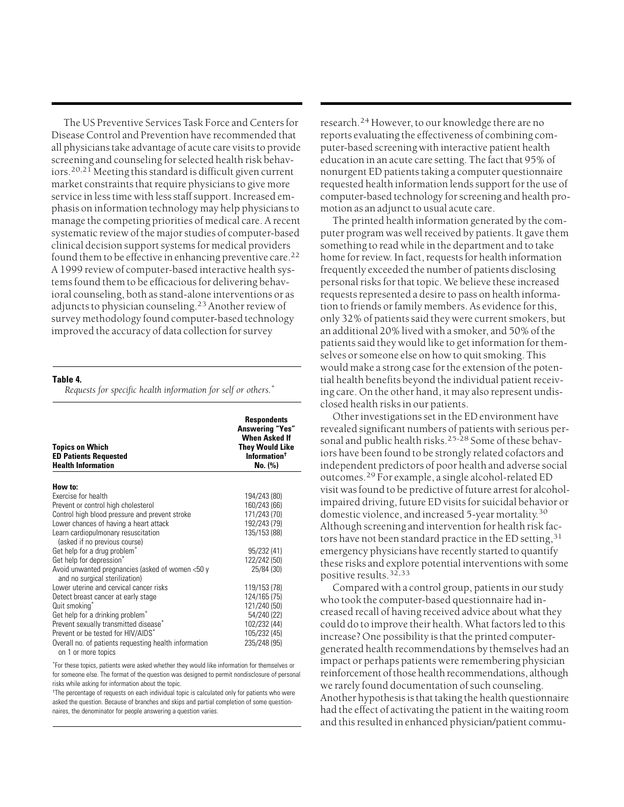The US Preventive Services Task Force and Centers for Disease Control and Prevention have recommended that all physicians take advantage of acute care visits to provide screening and counseling for selected health risk behaviors.20,21 Meeting this standard is difficult given current market constraints that require physicians to give more service in less time with less staff support. Increased emphasis on information technology may help physicians to manage the competing priorities of medical care. A recent systematic review of the major studies of computer-based clinical decision support systems for medical providers found them to be effective in enhancing preventive care.<sup>22</sup> A 1999 review of computer-based interactive health systems found them to be efficacious for delivering behavioral counseling, both as stand-alone interventions or as adjuncts to physician counseling.<sup>23</sup> Another review of survey methodology found computer-based technology improved the accuracy of data collection for survey

**Table 4.** 

*Requests for specific health information for self or others.\**

| <b>Topics on Which</b><br><b>ED Patients Requested</b><br><b>Health Information</b> | <b>Respondents</b><br><b>Answering "Yes"</b><br><b>When Asked If</b><br>They Would Like<br>Information <sup>+</sup><br>No. (%) |
|-------------------------------------------------------------------------------------|--------------------------------------------------------------------------------------------------------------------------------|
| How to:                                                                             |                                                                                                                                |
| Exercise for health                                                                 | 194/243 (80)                                                                                                                   |
| Prevent or control high cholesterol                                                 | 160/243 (66)                                                                                                                   |
| Control high blood pressure and prevent stroke                                      | 171/243 (70)                                                                                                                   |
| Lower chances of having a heart attack                                              | 192/243 (79)                                                                                                                   |
| Learn cardiopulmonary resuscitation<br>(asked if no previous course)                | 135/153 (88)                                                                                                                   |
| Get help for a drug problem <sup>*</sup>                                            | 95/232 (41)                                                                                                                    |
| Get help for depression <sup>*</sup>                                                | 122/242 (50)                                                                                                                   |
| Avoid unwanted pregnancies (asked of women <50 y<br>and no surgical sterilization)  | 25/84 (30)                                                                                                                     |
| Lower uterine and cervical cancer risks                                             | 119/153 (78)                                                                                                                   |
| Detect breast cancer at early stage                                                 | 124/165 (75)                                                                                                                   |
| Quit smoking <sup>*</sup>                                                           | 121/240 (50)                                                                                                                   |
| Get help for a drinking problem <sup>*</sup>                                        | 54/240 (22)                                                                                                                    |
| Prevent sexually transmitted disease <sup>*</sup>                                   | 102/232 (44)                                                                                                                   |
| Prevent or be tested for HIV/AIDS*                                                  | 105/232 (45)                                                                                                                   |
| Overall no. of patients requesting health information                               | 235/248 (95)                                                                                                                   |
| on 1 or more topics                                                                 |                                                                                                                                |

\* For these topics, patients were asked whether they would like information for themselves or for someone else. The format of the question was designed to permit nondisclosure of personal risks while asking for information about the topic.

<sup>†</sup>The percentage of requests on each individual topic is calculated only for patients who were asked the question. Because of branches and skips and partial completion of some questionnaires, the denominator for people answering a question varies.

research.<sup>24</sup> However, to our knowledge there are no reports evaluating the effectiveness of combining computer-based screening with interactive patient health education in an acute care setting. The fact that 95% of nonurgent ED patients taking a computer questionnaire requested health information lends support for the use of computer-based technology for screening and health promotion as an adjunct to usual acute care.

The printed health information generated by the computer program was well received by patients. It gave them something to read while in the department and to take home for review. In fact, requests for health information frequently exceeded the number of patients disclosing personal risks for that topic. We believe these increased requests represented a desire to pass on health information to friends or family members. As evidence for this, only 32% of patients said they were current smokers, but an additional 20% lived with a smoker, and 50% of the patients said they would like to get information for themselves or someone else on how to quit smoking. This would make a strong case for the extension of the potential health benefits beyond the individual patient receiving care. On the other hand, it may also represent undisclosed health risks in our patients.

Other investigations set in the ED environment have revealed significant numbers of patients with serious personal and public health risks.<sup>25-28</sup> Some of these behaviors have been found to be strongly related cofactors and independent predictors of poor health and adverse social outcomes.<sup>29</sup> For example, a single alcohol-related ED visit was found to be predictive of future arrest for alcoholimpaired driving, future ED visits for suicidal behavior or domestic violence, and increased 5-year mortality.<sup>30</sup> Although screening and intervention for health risk factors have not been standard practice in the ED setting,  $31$ emergency physicians have recently started to quantify these risks and explore potential interventions with some positive results.<sup>32,33</sup>

Compared with a control group, patients in our study who took the computer-based questionnaire had increased recall of having received advice about what they could do to improve their health. What factors led to this increase? One possibility is that the printed computergenerated health recommendations by themselves had an impact or perhaps patients were remembering physician reinforcement of those health recommendations, although we rarely found documentation of such counseling. Another hypothesis is that taking the health questionnaire had the effect of activating the patient in the waiting room and this resulted in enhanced physician/patient commu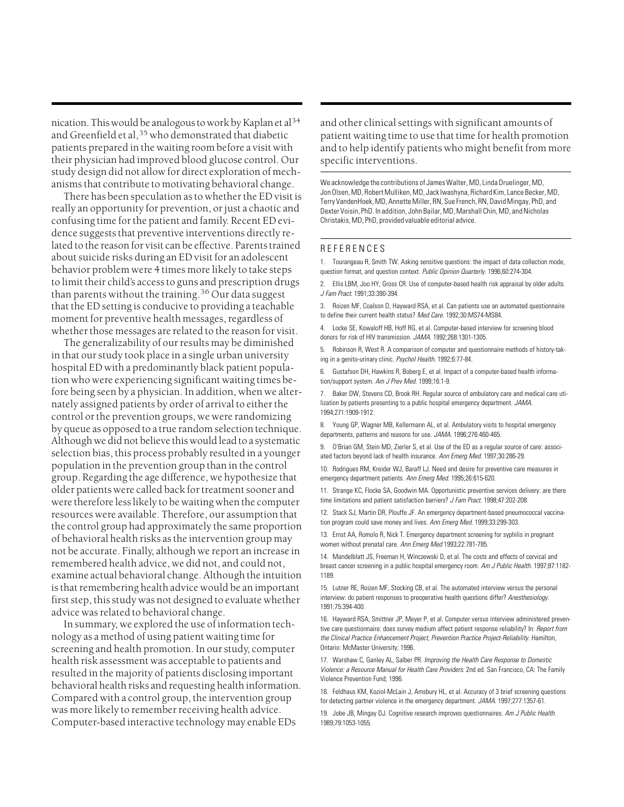nication. This would be analogous to work by Kaplan et al<sup>34</sup> and Greenfield et al,  $35$  who demonstrated that diabetic patients prepared in the waiting room before a visit with their physician had improved blood glucose control. Our study design did not allow for direct exploration of mechanisms that contribute to motivating behavioral change.

There has been speculation as to whether the ED visit is really an opportunity for prevention, or just a chaotic and confusing time for the patient and family. Recent ED evidence suggests that preventive interventions directly related to the reason for visit can be effective. Parents trained about suicide risks during an ED visit for an adolescent behavior problem were 4 times more likely to take steps to limit their child's access to guns and prescription drugs than parents without the training.<sup>36</sup> Our data suggest that the ED setting is conducive to providing a teachable moment for preventive health messages, regardless of whether those messages are related to the reason for visit.

The generalizability of our results may be diminished in that our study took place in a single urban university hospital ED with a predominantly black patient population who were experiencing significant waiting times before being seen by a physician. In addition, when we alternately assigned patients by order of arrival to either the control or the prevention groups, we were randomizing by queue as opposed to a true random selection technique. Although we did not believe this would lead to a systematic selection bias, this process probably resulted in a younger population in the prevention group than in the control group. Regarding the age difference, we hypothesize that older patients were called back for treatment sooner and were therefore less likely to be waiting when the computer resources were available. Therefore, our assumption that the control group had approximately the same proportion of behavioral health risks as the intervention group may not be accurate. Finally, although we report an increase in remembered health advice, we did not, and could not, examine actual behavioral change. Although the intuition is that remembering health advice would be an important first step, this study was not designed to evaluate whether advice was related to behavioral change.

In summary, we explored the use of information technology as a method of using patient waiting time for screening and health promotion. In our study, computer health risk assessment was acceptable to patients and resulted in the majority of patients disclosing important behavioral health risks and requesting health information. Compared with a control group, the intervention group was more likely to remember receiving health advice. Computer-based interactive technology may enable EDs

and other clinical settings with significant amounts of patient waiting time to use that time for health promotion and to help identify patients who might benefit from more specific interventions.

We acknowledge the contributions of James Walter, MD, Linda Druelinger, MD, Jon Olsen, MD, Robert Mulliken, MD, Jack Iwashyna, Richard Kim, Lance Becker, MD, Terry VandenHoek, MD, Annette Miller, RN, Sue French, RN, David Mingay, PhD, and Dexter Voisin, PhD. In addition, John Bailar, MD, Marshall Chin, MD, and Nicholas Christakis, MD, PhD, provided valuable editorial advice.

### **REFERENCES**

1. Tourangeau R, Smith TW. Asking sensitive questions: the impact of data collection mode, question format, and question context. Public Opinion Quarterly. 1996;60:274-304.

2. Ellis LBM, Joo HY, Gross CR. Use of computer-based health risk appraisal by older adults. J Fam Pract. 1991;33:390-394.

3. Roizen MF, Coalson D, Hayward RSA, et al. Can patients use an automated questionnaire to define their current health status? Med Care. 1992;30:MS74-MS84.

4. Locke SE, Kowaloff HB, Hoff RG, et al. Computer-based interview for screening blood donors for risk of HIV transmission. JAMA. 1992;268:1301-1305.

5. Robinson R, West R. A comparison of computer and questionnaire methods of history-taking in a genito-urinary clinic. Psychol Health. 1992;6:77-84.

6. Gustafson DH, Hawkins R, Boberg E, et al. Impact of a computer-based health information/support system. Am J Prev Med. 1999;16:1-9.

7. Baker DW, Stevens CD, Brook RH. Regular source of ambulatory care and medical care utilization by patients presenting to a public hospital emergency department. JAMA. 1994;271:1909-1912.

8. Young GP, Wagner MB, Kellermann AL, et al. Ambulatory visits to hospital emergency departments, patterns and reasons for use. JAMA. 1996;276:460-465.

9. O'Brian GM, Stein MD, Zierler S, et al. Use of the ED as a regular source of care: associated factors beyond lack of health insurance. Ann Emerg Med. 1997;30:286-29.

10. Rodrigues RM, Kreider WJ, Baraff LJ. Need and desire for preventive care measures in emergency department patients. Ann Emerg Med. 1995;26:615-620.

11. Strange KC, Flocke SA, Goodwin MA. Opportunistic preventive services delivery: are there time limitations and patient satisfaction barriers? J Fam Pract. 1998;47:202-208

12. Stack SJ, Martin DR, Plouffe JF. An emergency department-based pneumococcal vaccination program could save money and lives. Ann Emerg Med. 1999;33:299-303.

13. Ernst AA, Romolo R, Nick T. Emergency department screening for syphilis in pregnant women without prenatal care. Ann Emerg Med 1993;22:781-785.

14. Mandelblatt JS, Freeman H, Winczewski D, et al. The costs and effects of cervical and breast cancer screening in a public hospital emergency room. Am J Public Health. 1997;87:1182- 1189.

15. Lutner RE, Roizen MF, Stocking CB, et al. The automated interview versus the personal interview: do patient responses to preoperative health questions differ? Anesthesiology. 1991;75:394-400.

16. Hayward RSA, Smittner JP, Meyer P, et al. Computer versus interview administered preventive care questionnaire: does survey medium affect patient response reliability? In: Report from the Clinical Practice Enhancement Project, Prevention Practice Project-Reliability. Hamilton, Ontario: McMaster University; 1996.

17. Warshaw C, Ganley AL, Salber PR. Improving the Health Care Response to Domestic Violence: a Resource Manual for Health Care Providers. 2nd ed. San Francisco, CA: The Family Violence Prevention Fund; 1996.

18. Feldhaus KM, Koziol-McLain J, Amsbury HL, et al. Accuracy of 3 brief screening questions for detecting partner violence in the emergency department. JAMA. 1997;277:1357-61.

19. Jobe JB, Mingay DJ. Cognitive research improves questionnaires. Am J Public Health. 1989;79:1053-1055.